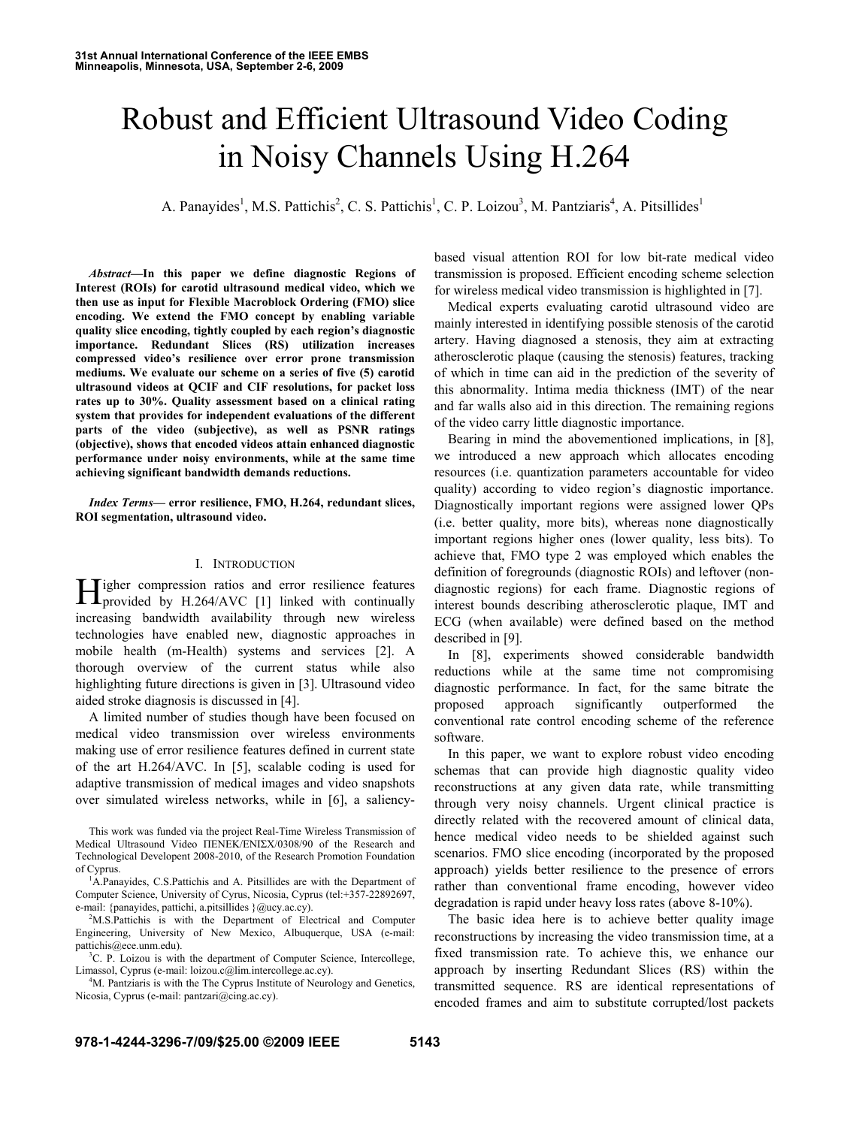# Robust and Efficient Ultrasound Video Coding in Noisy Channels Using H.264

A. Panayides<sup>1</sup>, M.S. Pattichis<sup>2</sup>, C. S. Pattichis<sup>1</sup>, C. P. Loizou<sup>3</sup>, M. Pantziaris<sup>4</sup>, A. Pitsillides<sup>1</sup>

*Abstract***—In this paper we define diagnostic Regions of Interest (ROIs) for carotid ultrasound medical video, which we then use as input for Flexible Macroblock Ordering (FMO) slice encoding. We extend the FMO concept by enabling variable quality slice encoding, tightly coupled by each region's diagnostic importance. Redundant Slices (RS) utilization increases compressed video's resilience over error prone transmission mediums. We evaluate our scheme on a series of five (5) carotid ultrasound videos at QCIF and CIF resolutions, for packet loss rates up to 30%. Quality assessment based on a clinical rating system that provides for independent evaluations of the different parts of the video (subjective), as well as PSNR ratings (objective), shows that encoded videos attain enhanced diagnostic performance under noisy environments, while at the same time achieving significant bandwidth demands reductions.** 

*Index Terms***— error resilience, FMO, H.264, redundant slices, ROI segmentation, ultrasound video.** 

#### I. INTRODUCTION

Tigher compression ratios and error resilience features Higher compression ratios and error resilience features<br>provided by H.264/AVC [1] linked with continually increasing bandwidth availability through new wireless technologies have enabled new, diagnostic approaches in mobile health (m-Health) systems and services [2]. A thorough overview of the current status while also highlighting future directions is given in [3]. Ultrasound video aided stroke diagnosis is discussed in [4].

A limited number of studies though have been focused on medical video transmission over wireless environments making use of error resilience features defined in current state of the art H.264/AVC. In [5], scalable coding is used for adaptive transmission of medical images and video snapshots over simulated wireless networks, while in [6], a saliency-

This work was funded via the project Real-Time Wireless Transmission of Medical Ultrasound Video ΠΕΝΕΚ/ΕΝΙΣΧ/0308/90 of the Research and Technological Developent 2008-2010, of the Research Promotion Foundation of Cyprus. 1

<sup>1</sup>A.Panayides, C.S.Pattichis and A. Pitsillides are with the Department of Computer Science, University of Cyrus, Nicosia, Cyprus (tel:+357-22892697, e-mail: {panayides, pattichi, a.pitsillides }@ucy.ac.cy).

<sup>2</sup>M.S.Pattichis is with the Department of Electrical and Computer Engineering, University of New Mexico, Albuquerque, USA (e-mail: pattichis@ece.unm.edu). 3

<sup>3</sup>C. P. Loizou is with the department of Computer Science, Intercollege, Limassol, Cyprus (e-mail: loizou.c@lim.intercollege.ac.cy).

<sup>4</sup>M. Pantziaris is with the The Cyprus Institute of Neurology and Genetics, Nicosia, Cyprus (e-mail: pantzari@cing.ac.cy).

based visual attention ROI for low bit-rate medical video transmission is proposed. Efficient encoding scheme selection for wireless medical video transmission is highlighted in [7].

Medical experts evaluating carotid ultrasound video are mainly interested in identifying possible stenosis of the carotid artery. Having diagnosed a stenosis, they aim at extracting atherosclerotic plaque (causing the stenosis) features, tracking of which in time can aid in the prediction of the severity of this abnormality. Intima media thickness (IMT) of the near and far walls also aid in this direction. The remaining regions of the video carry little diagnostic importance.

Bearing in mind the abovementioned implications, in [8], we introduced a new approach which allocates encoding resources (i.e. quantization parameters accountable for video quality) according to video region's diagnostic importance. Diagnostically important regions were assigned lower QPs (i.e. better quality, more bits), whereas none diagnostically important regions higher ones (lower quality, less bits). To achieve that, FMO type 2 was employed which enables the definition of foregrounds (diagnostic ROIs) and leftover (nondiagnostic regions) for each frame. Diagnostic regions of interest bounds describing atherosclerotic plaque, IMT and ECG (when available) were defined based on the method described in [9].

In [8], experiments showed considerable bandwidth reductions while at the same time not compromising diagnostic performance. In fact, for the same bitrate the proposed approach significantly outperformed the conventional rate control encoding scheme of the reference software.

In this paper, we want to explore robust video encoding schemas that can provide high diagnostic quality video reconstructions at any given data rate, while transmitting through very noisy channels. Urgent clinical practice is directly related with the recovered amount of clinical data, hence medical video needs to be shielded against such scenarios. FMO slice encoding (incorporated by the proposed approach) yields better resilience to the presence of errors rather than conventional frame encoding, however video degradation is rapid under heavy loss rates (above 8-10%).

The basic idea here is to achieve better quality image reconstructions by increasing the video transmission time, at a fixed transmission rate. To achieve this, we enhance our approach by inserting Redundant Slices (RS) within the transmitted sequence. RS are identical representations of encoded frames and aim to substitute corrupted/lost packets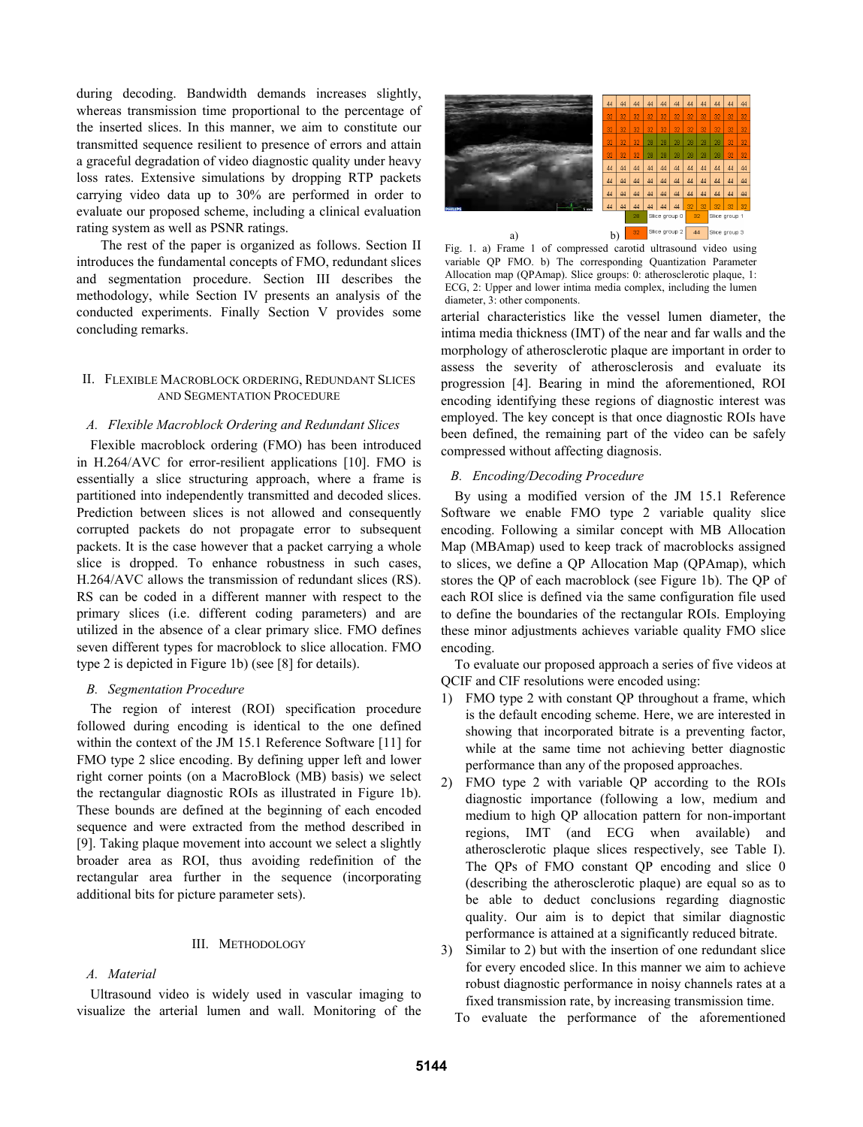during decoding. Bandwidth demands increases slightly, whereas transmission time proportional to the percentage of the inserted slices. In this manner, we aim to constitute our transmitted sequence resilient to presence of errors and attain a graceful degradation of video diagnostic quality under heavy loss rates. Extensive simulations by dropping RTP packets carrying video data up to 30% are performed in order to evaluate our proposed scheme, including a clinical evaluation rating system as well as PSNR ratings.

 The rest of the paper is organized as follows. Section II introduces the fundamental concepts of FMO, redundant slices and segmentation procedure. Section III describes the methodology, while Section IV presents an analysis of the conducted experiments. Finally Section V provides some concluding remarks.

# II. FLEXIBLE MACROBLOCK ORDERING, REDUNDANT SLICES AND SEGMENTATION PROCEDURE

## *A. Flexible Macroblock Ordering and Redundant Slices*

Flexible macroblock ordering (FMO) has been introduced in H.264/AVC for error-resilient applications [10]. FMO is essentially a slice structuring approach, where a frame is partitioned into independently transmitted and decoded slices. Prediction between slices is not allowed and consequently corrupted packets do not propagate error to subsequent packets. It is the case however that a packet carrying a whole slice is dropped. To enhance robustness in such cases, H.264/AVC allows the transmission of redundant slices (RS). RS can be coded in a different manner with respect to the primary slices (i.e. different coding parameters) and are utilized in the absence of a clear primary slice. FMO defines seven different types for macroblock to slice allocation. FMO type 2 is depicted in Figure 1b) (see [8] for details).

#### *B. Segmentation Procedure*

The region of interest (ROI) specification procedure followed during encoding is identical to the one defined within the context of the JM 15.1 Reference Software [11] for FMO type 2 slice encoding. By defining upper left and lower right corner points (on a MacroBlock (MB) basis) we select the rectangular diagnostic ROIs as illustrated in Figure 1b). These bounds are defined at the beginning of each encoded sequence and were extracted from the method described in [9]. Taking plaque movement into account we select a slightly broader area as ROI, thus avoiding redefinition of the rectangular area further in the sequence (incorporating additional bits for picture parameter sets).

#### III. METHODOLOGY

## *A. Material*

Ultrasound video is widely used in vascular imaging to visualize the arterial lumen and wall. Monitoring of the



Fig. 1. a) Frame 1 of compressed carotid ultrasound video using variable QP FMO. b) The corresponding Quantization Parameter Allocation map (QPAmap). Slice groups: 0: atherosclerotic plaque, 1: ECG, 2: Upper and lower intima media complex, including the lumen diameter, 3: other components.

arterial characteristics like the vessel lumen diameter, the intima media thickness (IMT) of the near and far walls and the morphology of atherosclerotic plaque are important in order to assess the severity of atherosclerosis and evaluate its progression [4]. Bearing in mind the aforementioned, ROI encoding identifying these regions of diagnostic interest was employed. The key concept is that once diagnostic ROIs have been defined, the remaining part of the video can be safely compressed without affecting diagnosis.

# *B. Encoding/Decoding Procedure*

By using a modified version of the JM 15.1 Reference Software we enable FMO type 2 variable quality slice encoding. Following a similar concept with MB Allocation Map (MBAmap) used to keep track of macroblocks assigned to slices, we define a QP Allocation Map (QPAmap), which stores the QP of each macroblock (see Figure 1b). The QP of each ROI slice is defined via the same configuration file used to define the boundaries of the rectangular ROIs. Employing these minor adjustments achieves variable quality FMO slice encoding.

To evaluate our proposed approach a series of five videos at QCIF and CIF resolutions were encoded using:

- 1) FMO type 2 with constant QP throughout a frame, which is the default encoding scheme. Here, we are interested in showing that incorporated bitrate is a preventing factor, while at the same time not achieving better diagnostic performance than any of the proposed approaches.
- 2) FMO type 2 with variable QP according to the ROIs diagnostic importance (following a low, medium and medium to high QP allocation pattern for non-important regions, IMT (and ECG when available) and atherosclerotic plaque slices respectively, see Table I). The QPs of FMO constant QP encoding and slice 0 (describing the atherosclerotic plaque) are equal so as to be able to deduct conclusions regarding diagnostic quality. Our aim is to depict that similar diagnostic performance is attained at a significantly reduced bitrate.
- 3) Similar to 2) but with the insertion of one redundant slice for every encoded slice. In this manner we aim to achieve robust diagnostic performance in noisy channels rates at a fixed transmission rate, by increasing transmission time.
	- To evaluate the performance of the aforementioned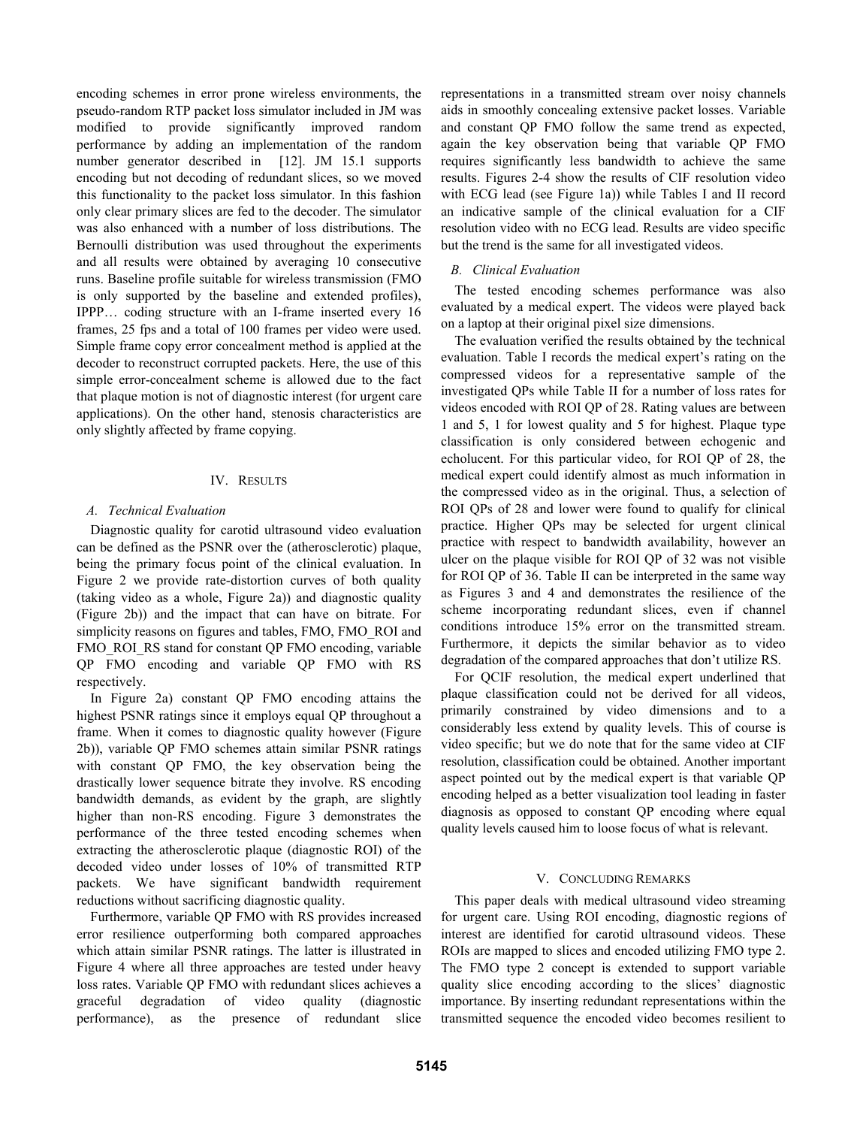encoding schemes in error prone wireless environments, the pseudo-random RTP packet loss simulator included in JM was modified to provide significantly improved random performance by adding an implementation of the random number generator described in [12]. JM 15.1 supports encoding but not decoding of redundant slices, so we moved this functionality to the packet loss simulator. In this fashion only clear primary slices are fed to the decoder. The simulator was also enhanced with a number of loss distributions. The Bernoulli distribution was used throughout the experiments and all results were obtained by averaging 10 consecutive runs. Baseline profile suitable for wireless transmission (FMO is only supported by the baseline and extended profiles), IPPP… coding structure with an I-frame inserted every 16 frames, 25 fps and a total of 100 frames per video were used. Simple frame copy error concealment method is applied at the decoder to reconstruct corrupted packets. Here, the use of this simple error-concealment scheme is allowed due to the fact that plaque motion is not of diagnostic interest (for urgent care applications). On the other hand, stenosis characteristics are only slightly affected by frame copying.

# IV. RESULTS

## *A. Technical Evaluation*

Diagnostic quality for carotid ultrasound video evaluation can be defined as the PSNR over the (atherosclerotic) plaque, being the primary focus point of the clinical evaluation. In Figure 2 we provide rate-distortion curves of both quality (taking video as a whole, Figure 2a)) and diagnostic quality (Figure 2b)) and the impact that can have on bitrate. For simplicity reasons on figures and tables, FMO, FMO\_ROI and FMO\_ROI\_RS stand for constant OP FMO encoding, variable QP FMO encoding and variable QP FMO with RS respectively.

In Figure 2a) constant QP FMO encoding attains the highest PSNR ratings since it employs equal QP throughout a frame. When it comes to diagnostic quality however (Figure 2b)), variable QP FMO schemes attain similar PSNR ratings with constant QP FMO, the key observation being the drastically lower sequence bitrate they involve. RS encoding bandwidth demands, as evident by the graph, are slightly higher than non-RS encoding. Figure 3 demonstrates the performance of the three tested encoding schemes when extracting the atherosclerotic plaque (diagnostic ROI) of the decoded video under losses of 10% of transmitted RTP packets. We have significant bandwidth requirement reductions without sacrificing diagnostic quality.

Furthermore, variable QP FMO with RS provides increased error resilience outperforming both compared approaches which attain similar PSNR ratings. The latter is illustrated in Figure 4 where all three approaches are tested under heavy loss rates. Variable QP FMO with redundant slices achieves a graceful degradation of video quality (diagnostic performance), as the presence of redundant slice

representations in a transmitted stream over noisy channels aids in smoothly concealing extensive packet losses. Variable and constant QP FMO follow the same trend as expected, again the key observation being that variable QP FMO requires significantly less bandwidth to achieve the same results. Figures 2-4 show the results of CIF resolution video with ECG lead (see Figure 1a)) while Tables I and II record an indicative sample of the clinical evaluation for a CIF resolution video with no ECG lead. Results are video specific but the trend is the same for all investigated videos.

# *B. Clinical Evaluation*

The tested encoding schemes performance was also evaluated by a medical expert. The videos were played back on a laptop at their original pixel size dimensions.

The evaluation verified the results obtained by the technical evaluation. Table I records the medical expert's rating on the compressed videos for a representative sample of the investigated QPs while Table II for a number of loss rates for videos encoded with ROI QP of 28. Rating values are between 1 and 5, 1 for lowest quality and 5 for highest. Plaque type classification is only considered between echogenic and echolucent. For this particular video, for ROI QP of 28, the medical expert could identify almost as much information in the compressed video as in the original. Thus, a selection of ROI QPs of 28 and lower were found to qualify for clinical practice. Higher QPs may be selected for urgent clinical practice with respect to bandwidth availability, however an ulcer on the plaque visible for ROI QP of 32 was not visible for ROI QP of 36. Table II can be interpreted in the same way as Figures 3 and 4 and demonstrates the resilience of the scheme incorporating redundant slices, even if channel conditions introduce 15% error on the transmitted stream. Furthermore, it depicts the similar behavior as to video degradation of the compared approaches that don't utilize RS.

For QCIF resolution, the medical expert underlined that plaque classification could not be derived for all videos, primarily constrained by video dimensions and to a considerably less extend by quality levels. This of course is video specific; but we do note that for the same video at CIF resolution, classification could be obtained. Another important aspect pointed out by the medical expert is that variable QP encoding helped as a better visualization tool leading in faster diagnosis as opposed to constant QP encoding where equal quality levels caused him to loose focus of what is relevant.

# V. CONCLUDING REMARKS

This paper deals with medical ultrasound video streaming for urgent care. Using ROI encoding, diagnostic regions of interest are identified for carotid ultrasound videos. These ROIs are mapped to slices and encoded utilizing FMO type 2. The FMO type 2 concept is extended to support variable quality slice encoding according to the slices' diagnostic importance. By inserting redundant representations within the transmitted sequence the encoded video becomes resilient to